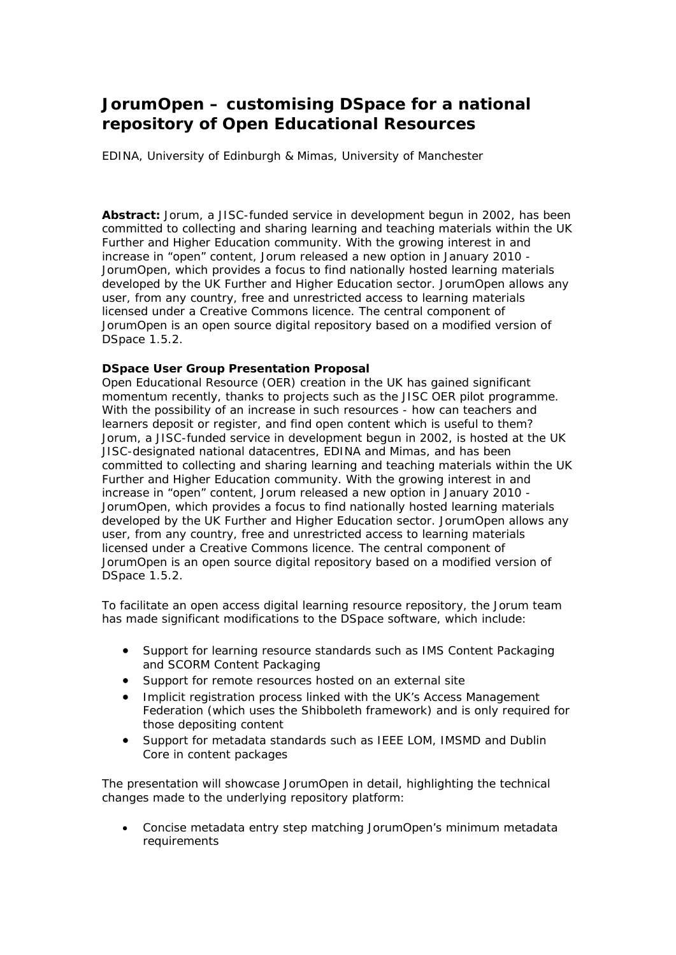## **JorumOpen – customising DSpace for a national repository of Open Educational Resources**

EDINA, University of Edinburgh & Mimas, University of Manchester

**Abstract:** Jorum, a JISC-funded service in development begun in 2002, has been committed to collecting and sharing learning and teaching materials within the UK Further and Higher Education community. With the growing interest in and increase in "open" content, Jorum released a new option in January 2010 - JorumOpen, which provides a focus to find nationally hosted learning materials developed by the UK Further and Higher Education sector. JorumOpen allows any user, from any country, free and unrestricted access to learning materials licensed under a Creative Commons licence. The central component of JorumOpen is an open source digital repository based on a modified version of DSpace 1.5.2.

## **DSpace User Group Presentation Proposal**

Open Educational Resource (OER) creation in the UK has gained significant momentum recently, thanks to projects such as the JISC OER pilot programme. With the possibility of an increase in such resources - how can teachers and learners deposit or register, and find open content which is useful to them? Jorum, a JISC-funded service in development begun in 2002, is hosted at the UK JISC-designated national datacentres, EDINA and Mimas, and has been committed to collecting and sharing learning and teaching materials within the UK Further and Higher Education community. With the growing interest in and increase in "open" content, Jorum released a new option in January 2010 - JorumOpen, which provides a focus to find nationally hosted learning materials developed by the UK Further and Higher Education sector. JorumOpen allows any user, from any country, free and unrestricted access to learning materials licensed under a Creative Commons licence. The central component of JorumOpen is an open source digital repository based on a modified version of DSpace 1.5.2.

To facilitate an open access digital learning resource repository, the Jorum team has made significant modifications to the DSpace software, which include:

- Support for learning resource standards such as IMS Content Packaging and SCORM Content Packaging
- Support for remote resources hosted on an external site
- Implicit registration process linked with the UK's Access Management Federation (which uses the Shibboleth framework) and is only required for those depositing content
- Support for metadata standards such as IEEE LOM, IMSMD and Dublin Core in content packages

The presentation will showcase JorumOpen in detail, highlighting the technical changes made to the underlying repository platform:

 Concise metadata entry step matching JorumOpen's minimum metadata requirements